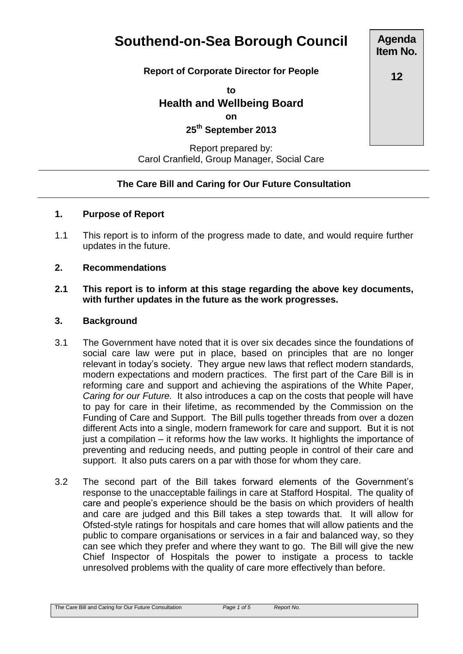# **Southend-on-Sea Borough Council**

### **Report of Corporate Director for People**

**to**

**Health and Wellbeing Board on 25th September 2013**

## Report prepared by: Carol Cranfield, Group Manager, Social Care

## **The Care Bill and Caring for Our Future Consultation**

### **1. Purpose of Report**

1.1 This report is to inform of the progress made to date, and would require further updates in the future.

#### **2. Recommendations**

**2.1 This report is to inform at this stage regarding the above key documents, with further updates in the future as the work progresses.**

#### **3. Background**

- 3.1 The Government have noted that it is over six decades since the foundations of social care law were put in place, based on principles that are no longer relevant in today's society. They argue new laws that reflect modern standards, modern expectations and modern practices. The first part of the Care Bill is in reforming care and support and achieving the aspirations of the White Paper, *Caring for our Future.* It also introduces a cap on the costs that people will have to pay for care in their lifetime, as recommended by the Commission on the Funding of Care and Support. The Bill pulls together threads from over a dozen different Acts into a single, modern framework for care and support. But it is not just a compilation – it reforms how the law works. It highlights the importance of preventing and reducing needs, and putting people in control of their care and support. It also puts carers on a par with those for whom they care.
- 3.2 The second part of the Bill takes forward elements of the Government's response to the unacceptable failings in care at Stafford Hospital. The quality of care and people's experience should be the basis on which providers of health and care are judged and this Bill takes a step towards that. It will allow for Ofsted-style ratings for hospitals and care homes that will allow patients and the public to compare organisations or services in a fair and balanced way, so they can see which they prefer and where they want to go. The Bill will give the new Chief Inspector of Hospitals the power to instigate a process to tackle unresolved problems with the quality of care more effectively than before.

**Agenda Item No.**

**12**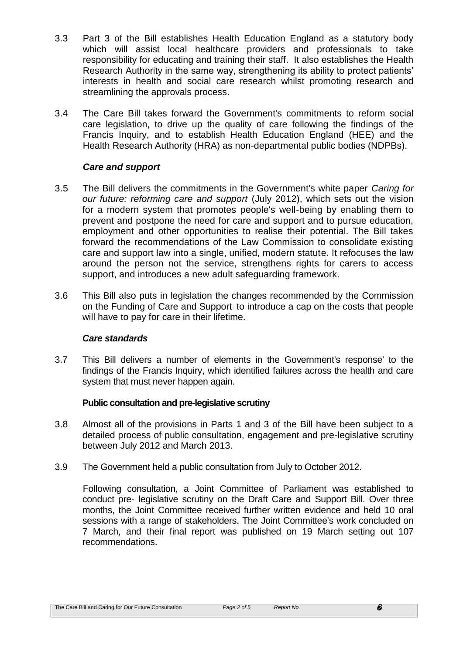- 3.3 Part 3 of the Bill establishes Health Education England as a statutory body which will assist local healthcare providers and professionals to take responsibility for educating and training their staff. It also establishes the Health Research Authority in the same way, strengthening its ability to protect patients' interests in health and social care research whilst promoting research and streamlining the approvals process.
- 3.4 The Care Bill takes forward the Government's commitments to reform social care legislation, to drive up the quality of care following the findings of the Francis Inquiry, and to establish Health Education England (HEE) and the Health Research Authority (HRA) as non-departmental public bodies (NDPBs).

### *Care and support*

- 3.5 The Bill delivers the commitments in the Government's white paper *Caring for our future: reforming care and support* (July 2012), which sets out the vision for a modern system that promotes people's well-being by enabling them to prevent and postpone the need for care and support and to pursue education, employment and other opportunities to realise their potential. The Bill takes forward the recommendations of the Law Commission to consolidate existing care and support law into a single, unified, modern statute. It refocuses the law around the person not the service, strengthens rights for carers to access support, and introduces a new adult safeguarding framework.
- 3.6 This Bill also puts in legislation the changes recommended by the Commission on the Funding of Care and Support to introduce a cap on the costs that people will have to pay for care in their lifetime.

### *Care standards*

3.7 This Bill delivers a number of elements in the Government's response' to the findings of the Francis Inquiry, which identified failures across the health and care system that must never happen again.

### **Public consultation and pre-legislative scrutiny**

- 3.8 Almost all of the provisions in Parts 1 and 3 of the Bill have been subject to a detailed process of public consultation, engagement and pre-legislative scrutiny between July 2012 and March 2013.
- 3.9 The Government held a public consultation from July to October 2012.

Following consultation, a Joint Committee of Parliament was established to conduct pre- legislative scrutiny on the Draft Care and Support Bill. Over three months, the Joint Committee received further written evidence and held 10 oral sessions with a range of stakeholders. The Joint Committee's work concluded on 7 March, and their final report was published on 19 March setting out 107 recommendations.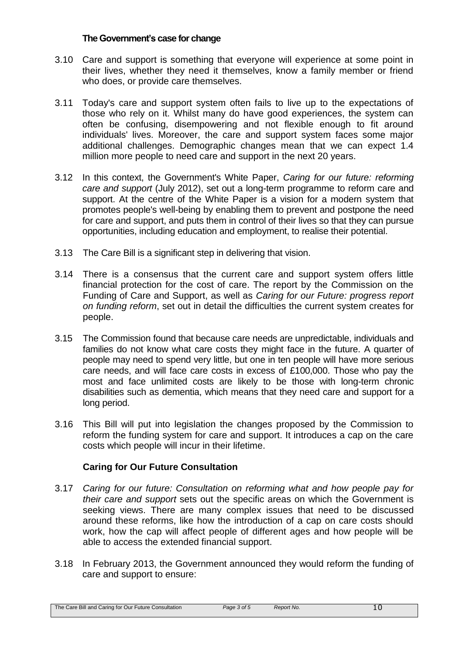#### **The Government's case for change**

- 3.10 Care and support is something that everyone will experience at some point in their lives, whether they need it themselves, know a family member or friend who does, or provide care themselves.
- 3.11 Today's care and support system often fails to live up to the expectations of those who rely on it. Whilst many do have good experiences, the system can often be confusing, disempowering and not flexible enough to fit around individuals' lives. Moreover, the care and support system faces some major additional challenges. Demographic changes mean that we can expect 1.4 million more people to need care and support in the next 20 years.
- 3.12 In this context, the Government's White Paper, *Caring for our future: reforming care and support* (July 2012), set out a long-term programme to reform care and support. At the centre of the White Paper is a vision for a modern system that promotes people's well-being by enabling them to prevent and postpone the need for care and support, and puts them in control of their lives so that they can pursue opportunities, including education and employment, to realise their potential.
- 3.13 The Care Bill is a significant step in delivering that vision.
- 3.14 There is a consensus that the current care and support system offers little financial protection for the cost of care. The report by the Commission on the Funding of Care and Support, as well as *Caring for our Future: progress report on funding reform*, set out in detail the difficulties the current system creates for people.
- 3.15 The Commission found that because care needs are unpredictable, individuals and families do not know what care costs they might face in the future. A quarter of people may need to spend very little, but one in ten people will have more serious care needs, and will face care costs in excess of £100,000. Those who pay the most and face unlimited costs are likely to be those with long-term chronic disabilities such as dementia, which means that they need care and support for a long period.
- 3.16 This Bill will put into legislation the changes proposed by the Commission to reform the funding system for care and support. It introduces a cap on the care costs which people will incur in their lifetime.

## **Caring for Our Future Consultation**

- 3.17 *Caring for our future: Consultation on reforming what and how people pay for their care and support* sets out the specific areas on which the Government is seeking views. There are many complex issues that need to be discussed around these reforms, like how the introduction of a cap on care costs should work, how the cap will affect people of different ages and how people will be able to access the extended financial support.
- 3.18 In February 2013, the Government announced they would reform the funding of care and support to ensure: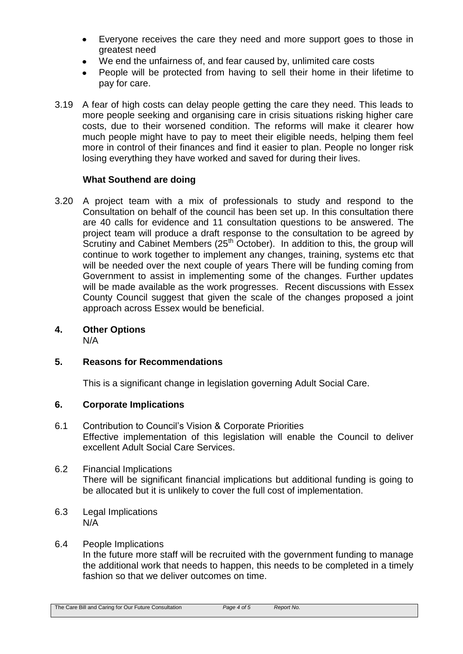- Everyone receives the care they need and more support goes to those in  $\bullet$ greatest need
- We end the unfairness of, and fear caused by, unlimited care costs  $\bullet$
- People will be protected from having to sell their home in their lifetime to pay for care.
- 3.19 A fear of high costs can delay people getting the care they need. This leads to more people seeking and organising care in crisis situations risking higher care costs, due to their worsened condition. The reforms will make it clearer how much people might have to pay to meet their eligible needs, helping them feel more in control of their finances and find it easier to plan. People no longer risk losing everything they have worked and saved for during their lives.

## **What Southend are doing**

- 3.20 A project team with a mix of professionals to study and respond to the Consultation on behalf of the council has been set up. In this consultation there are 40 calls for evidence and 11 consultation questions to be answered. The project team will produce a draft response to the consultation to be agreed by Scrutiny and Cabinet Members  $(25<sup>th</sup> October)$ . In addition to this, the group will continue to work together to implement any changes, training, systems etc that will be needed over the next couple of years There will be funding coming from Government to assist in implementing some of the changes. Further updates will be made available as the work progresses. Recent discussions with Essex County Council suggest that given the scale of the changes proposed a joint approach across Essex would be beneficial.
- **4. Other Options**

N/A

## **5. Reasons for Recommendations**

This is a significant change in legislation governing Adult Social Care.

## **6. Corporate Implications**

- 6.1 Contribution to Council's Vision & Corporate Priorities Effective implementation of this legislation will enable the Council to deliver excellent Adult Social Care Services.
- 6.2 Financial Implications There will be significant financial implications but additional funding is going to be allocated but it is unlikely to cover the full cost of implementation.
- 6.3 Legal Implications N/A
- 6.4 People Implications In the future more staff will be recruited with the government funding to manage the additional work that needs to happen, this needs to be completed in a timely fashion so that we deliver outcomes on time.